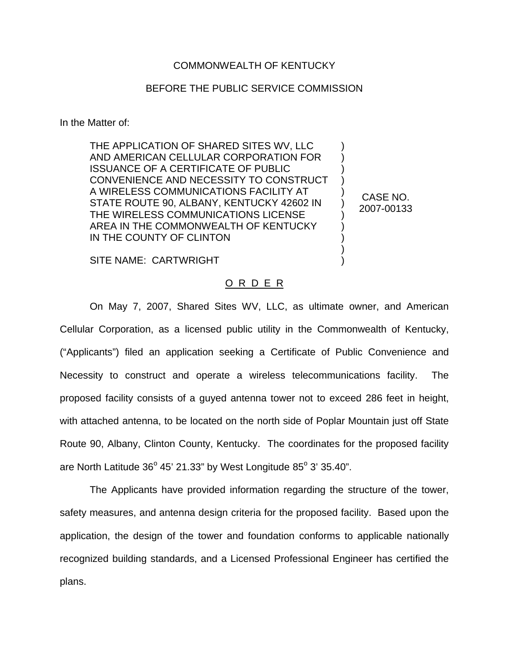## COMMONWEALTH OF KENTUCKY

## BEFORE THE PUBLIC SERVICE COMMISSION

In the Matter of:

THE APPLICATION OF SHARED SITES WV, LLC AND AMERICAN CELLULAR CORPORATION FOR ISSUANCE OF A CERTIFICATE OF PUBLIC CONVENIENCE AND NECESSITY TO CONSTRUCT A WIRELESS COMMUNICATIONS FACILITY AT STATE ROUTE 90, ALBANY, KENTUCKY 42602 IN THE WIRELESS COMMUNICATIONS LICENSE AREA IN THE COMMONWEALTH OF KENTUCKY IN THE COUNTY OF CLINTON

CASE NO. 2007-00133

) ) ) ) ) ) ) ) ) ) )

SITE NAME: CARTWRIGHT

## O R D E R

On May 7, 2007, Shared Sites WV, LLC, as ultimate owner, and American Cellular Corporation, as a licensed public utility in the Commonwealth of Kentucky, ("Applicants") filed an application seeking a Certificate of Public Convenience and Necessity to construct and operate a wireless telecommunications facility. The proposed facility consists of a guyed antenna tower not to exceed 286 feet in height, with attached antenna, to be located on the north side of Poplar Mountain just off State Route 90, Albany, Clinton County, Kentucky. The coordinates for the proposed facility are North Latitude  $36^{\circ}$  45' 21.33" by West Longitude  $85^{\circ}$  3' 35.40".

The Applicants have provided information regarding the structure of the tower, safety measures, and antenna design criteria for the proposed facility. Based upon the application, the design of the tower and foundation conforms to applicable nationally recognized building standards, and a Licensed Professional Engineer has certified the plans.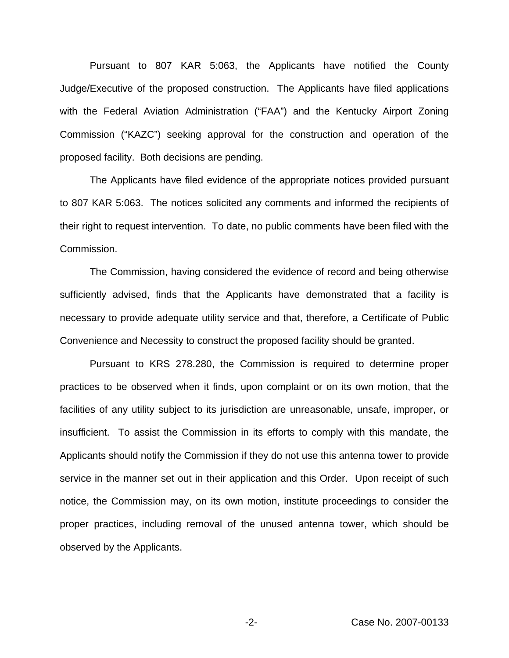Pursuant to 807 KAR 5:063, the Applicants have notified the County Judge/Executive of the proposed construction. The Applicants have filed applications with the Federal Aviation Administration ("FAA") and the Kentucky Airport Zoning Commission ("KAZC") seeking approval for the construction and operation of the proposed facility. Both decisions are pending.

The Applicants have filed evidence of the appropriate notices provided pursuant to 807 KAR 5:063. The notices solicited any comments and informed the recipients of their right to request intervention. To date, no public comments have been filed with the Commission.

The Commission, having considered the evidence of record and being otherwise sufficiently advised, finds that the Applicants have demonstrated that a facility is necessary to provide adequate utility service and that, therefore, a Certificate of Public Convenience and Necessity to construct the proposed facility should be granted.

Pursuant to KRS 278.280, the Commission is required to determine proper practices to be observed when it finds, upon complaint or on its own motion, that the facilities of any utility subject to its jurisdiction are unreasonable, unsafe, improper, or insufficient. To assist the Commission in its efforts to comply with this mandate, the Applicants should notify the Commission if they do not use this antenna tower to provide service in the manner set out in their application and this Order. Upon receipt of such notice, the Commission may, on its own motion, institute proceedings to consider the proper practices, including removal of the unused antenna tower, which should be observed by the Applicants.